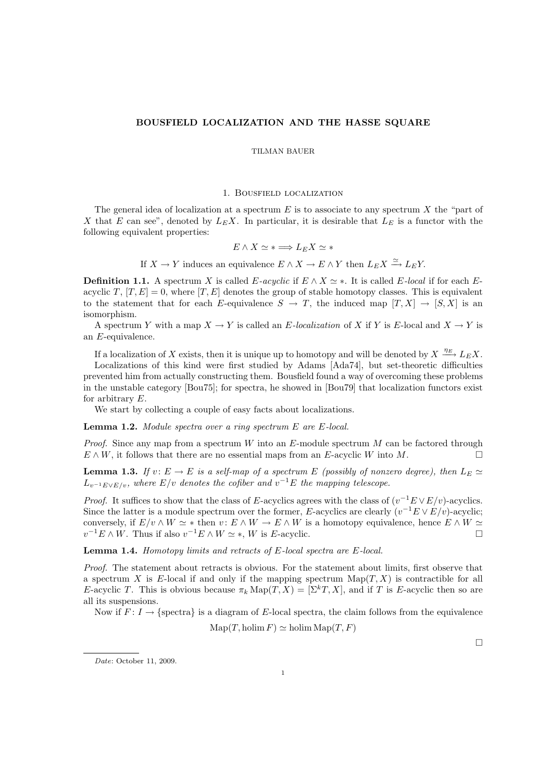## BOUSFIELD LOCALIZATION AND THE HASSE SQUARE

#### TILMAN BAUER

### 1. Bousfield localization

The general idea of localization at a spectrum  $E$  is to associate to any spectrum  $X$  the "part of X that E can see", denoted by  $L_E X$ . In particular, it is desirable that  $L_E$  is a functor with the following equivalent properties:

$$
E \wedge X \simeq * \Longrightarrow L_E X \simeq *
$$

If  $X \to Y$  induces an equivalence  $E \wedge X \to E \wedge Y$  then  $L_E X \xrightarrow{\simeq} L_E Y$ .

**Definition 1.1.** A spectrum X is called E-acyclic if  $E \wedge X \simeq$  \*. It is called E-local if for each Eacyclic T,  $[T, E] = 0$ , where  $[T, E]$  denotes the group of stable homotopy classes. This is equivalent to the statement that for each E-equivalence  $S \to T$ , the induced map  $[T, X] \to [S, X]$  is an isomorphism.

A spectrum Y with a map  $X \to Y$  is called an E-localization of X if Y is E-local and  $X \to Y$  is an E-equivalence.

If a localization of X exists, then it is unique up to homotopy and will be denoted by  $X \xrightarrow{\eta_E} L_E X$ .

Localizations of this kind were first studied by Adams [Ada74], but set-theoretic difficulties prevented him from actually constructing them. Bousfield found a way of overcoming these problems in the unstable category [Bou75]; for spectra, he showed in [Bou79] that localization functors exist for arbitrary  $E$ .

We start by collecting a couple of easy facts about localizations.

Lemma 1.2. *Module spectra over a ring spectrum* E *are* E*-local.*

*Proof.* Since any map from a spectrum W into an E-module spectrum M can be factored through  $E \wedge W$ , it follows that there are no essential maps from an E-acyclic W into M.

**Lemma 1.3.** *If*  $v: E \to E$  *is a self-map of a spectrum* E *(possibly of nonzero degree), then*  $L_E \simeq$  $L_{v^{-1}E \vee E/v}$ , where  $E/v$  denotes the cofiber and  $v^{-1}E$  the mapping telescope.

*Proof.* It suffices to show that the class of E-acyclics agrees with the class of  $(v^{-1}E \vee E/v)$ -acyclics. Since the latter is a module spectrum over the former, E-acyclics are clearly  $(v^{-1}E \vee E/v)$ -acyclic; conversely, if  $E/v \wedge W \simeq *$  then  $v: E \wedge W \to E \wedge W$  is a homotopy equivalence, hence  $E \wedge W \simeq$  $v^{-1}E \wedge W$ . Thus if also  $v^{-1}E \wedge W \simeq *, W$  is E-acyclic.

Lemma 1.4. *Homotopy limits and retracts of* E*-local spectra are* E*-local.*

*Proof.* The statement about retracts is obvious. For the statement about limits, first observe that a spectrum X is E-local if and only if the mapping spectrum  $\text{Map}(T, X)$  is contractible for all E-acyclic T. This is obvious because  $\pi_k \text{Map}(T, X) = [\Sigma^k T, X]$ , and if T is E-acyclic then so are all its suspensions.

Now if  $F: I \to \{$  spectra $\}$  is a diagram of E-local spectra, the claim follows from the equivalence

 $\text{Map}(T, \text{holim } F) \simeq \text{holim } \text{Map}(T, F)$ 

 $\Box$ 

*Date*: October 11, 2009.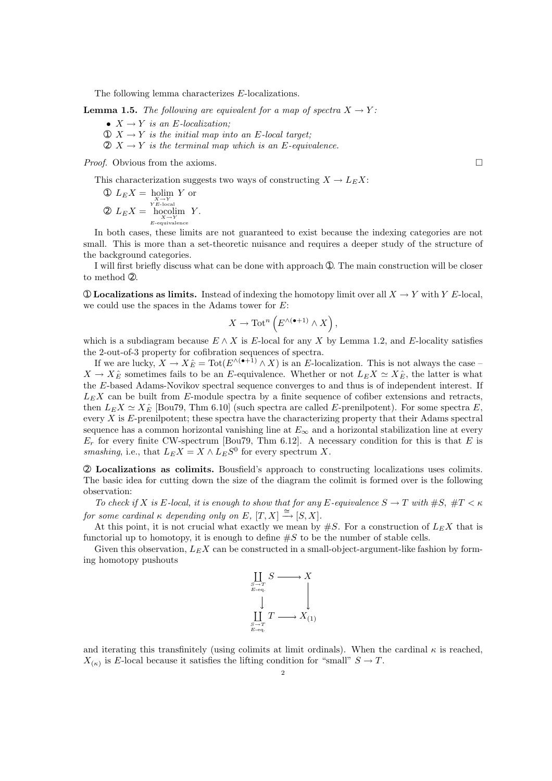The following lemma characterizes E-localizations.

**Lemma 1.5.** *The following are equivalent for a map of spectra*  $X \to Y$ :

- $X \rightarrow Y$  *is an E-localization;*
- $\mathcal{D} \times \rightarrow Y$  *is the initial map into an E-local target;*
- $\mathcal{D} \times \rightarrow Y$  *is the terminal map which is an E-equivalence.*

*Proof.* Obvious from the axioms. □

This characterization suggests two ways of constructing  $X \to L_E X$ :

\n
$$
\begin{aligned}\n \text{①} \ \ L_E X &= \text{ \text{holim } Y \text{ or } \\
& \sum_{Y \in \text{Local} \atop Y \in \text{Local}} Y \\
& \text{②} \ \ L_E X &= \text{ \text{hocolim } Y \text{.} \\
& \sum_{E-\text{equivalence}} Y.\n \end{aligned}
$$
\n

In both cases, these limits are not guaranteed to exist because the indexing categories are not small. This is more than a set-theoretic nuisance and requires a deeper study of the structure of the background categories.

I will first briefly discuss what can be done with approach ①. The main construction will be closer to method ➁.

 $\circled{1}$  Localizations as limits. Instead of indexing the homotopy limit over all  $X \to Y$  with Y E-local, we could use the spaces in the Adams tower for E:

$$
X \to \text{Tot}^n\left(E^{\wedge (\bullet+1)} \wedge X\right),
$$

which is a subdiagram because  $E \wedge X$  is E-local for any X by Lemma 1.2, and E-locality satisfies the 2-out-of-3 property for cofibration sequences of spectra.

If we are lucky,  $X \to X_E^{\hat{}} = \text{Tot}(E^{\wedge (\bullet+1)} \wedge X)$  is an E-localization. This is not always the case –  $X \to X_E^{\hat{}}$  sometimes fails to be an E-equivalence. Whether or not  $L_E X \simeq X_E^{\hat{}}$ , the latter is what the E-based Adams-Novikov spectral sequence converges to and thus is of independent interest. If  $L<sub>E</sub>X$  can be built from E-module spectra by a finite sequence of cofiber extensions and retracts, then  $L_E X \simeq X_E$  [Bou79, Thm 6.10] (such spectra are called E-prenilpotent). For some spectra E, every  $X$  is  $E$ -prenilpotent; these spectra have the characterizing property that their Adams spectral sequence has a common horizontal vanishing line at  $E_{\infty}$  and a horizontal stabilization line at every  $E_r$  for every finite CW-spectrum [Bou79, Thm 6.12]. A necessary condition for this is that E is *smashing*, i.e., that  $L_E X = X \wedge L_E S^0$  for every spectrum X.

➁ Localizations as colimits. Bousfield's approach to constructing localizations uses colimits. The basic idea for cutting down the size of the diagram the colimit is formed over is the following observation:

*To check if* X *is* E-local, *it is enough to show that for any* E-equivalence  $S \to T$  with  $\#S$ ,  $\#T < \kappa$ *for some cardinal*  $\kappa$  *depending only on*  $E$ *,*  $[T, X] \stackrel{\cong}{\rightarrow} [S, X]$ *.* 

At this point, it is not crucial what exactly we mean by  $\#S$ . For a construction of  $L_E X$  that is functorial up to homotopy, it is enough to define  $\#S$  to be the number of stable cells.

Given this observation,  $L_E X$  can be constructed in a small-object-argument-like fashion by forming homotopy pushouts



and iterating this transfinitely (using colimits at limit ordinals). When the cardinal  $\kappa$  is reached,  $X_{(\kappa)}$  is E-local because it satisfies the lifting condition for "small"  $S \to T$ .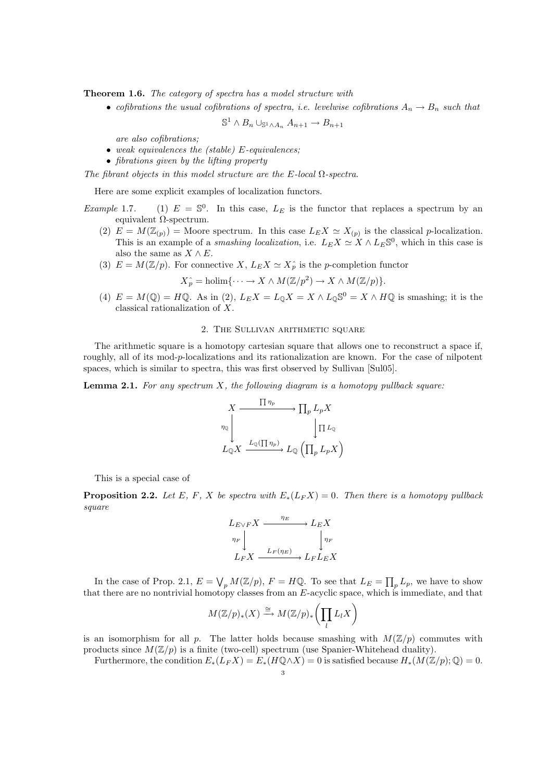Theorem 1.6. *The category of spectra has a model structure with*

• *cofibrations the usual cofibrations of spectra, i.e. levelwise cofibrations*  $A_n \to B_n$  *such that* 

$$
\mathbb{S}^1 \wedge B_n \cup_{\mathbb{S}^1 \wedge A_n} A_{n+1} \to B_{n+1}
$$

*are also cofibrations;*

- *weak equivalences the (stable)* E*-equivalences;*
- *fibrations given by the lifting property*

*The fibrant objects in this model structure are the* E*-local* Ω*-spectra.*

Here are some explicit examples of localization functors.

- *Example* 1.7. (1)  $E = \mathbb{S}^0$ . In this case,  $L_E$  is the functor that replaces a spectrum by an equivalent  $Ω$ -spectrum.
	- (2)  $E = M(\mathbb{Z}_{(p)}) =$  Moore spectrum. In this case  $L_E X \simeq X_{(p)}$  is the classical p-localization. This is an example of a *smashing localization*, i.e.  $L_E X \simeq X \wedge L_E \mathbb{S}^0$ , which in this case is also the same as  $X \wedge E$ .
	- (3)  $E = M(\mathbb{Z}/p)$ . For connective  $X, L_E X \simeq X_p^*$  is the p-completion functor

$$
X_p^{\wedge} = \text{holim}\{\cdots \to X \wedge M(\mathbb{Z}/p^2) \to X \wedge M(\mathbb{Z}/p)\}.
$$

(4)  $E = M(\mathbb{Q}) = H\mathbb{Q}$ . As in (2),  $L_E X = L_{\mathbb{Q}} X = X \wedge L_{\mathbb{Q}} \mathbb{S}^0 = X \wedge H\mathbb{Q}$  is smashing; it is the classical rationalization of X.

# 2. The Sullivan arithmetic square

The arithmetic square is a homotopy cartesian square that allows one to reconstruct a space if, roughly, all of its mod-p-localizations and its rationalization are known. For the case of nilpotent spaces, which is similar to spectra, this was first observed by Sullivan [Sul05].

Lemma 2.1. *For any spectrum* X*, the following diagram is a homotopy pullback square:*

$$
X \xrightarrow{\Pi \eta_p} \Pi_p L_p X
$$
  

$$
\eta_{\mathbb{Q}} \downarrow \Pi L_{\mathbb{Q}} X
$$
  

$$
L_{\mathbb{Q}} X \xrightarrow{L_{\mathbb{Q}}(\Pi \eta_p)} L_{\mathbb{Q}} (\Pi_p L_p X)
$$

This is a special case of

**Proposition 2.2.** *Let* E, F, X *be spectra with*  $E_*(L_F X) = 0$ *. Then there is a homotopy pullback square*

$$
L_{E\vee F}X \xrightarrow{\eta_E} L_EX
$$
  

$$
\eta_F \downarrow \qquad \qquad \downarrow \eta_F
$$
  

$$
L_FX \xrightarrow{L_F(\eta_E)} L_FL_EX
$$

In the case of Prop. 2.1,  $E = \bigvee_p M(\mathbb{Z}/p)$ ,  $F = H\mathbb{Q}$ . To see that  $L_E = \prod_p L_p$ , we have to show that there are no nontrivial homotopy classes from an E-acyclic space, which is immediate, and that

$$
M(\mathbb{Z}/p)_*(X) \xrightarrow{\cong} M(\mathbb{Z}/p)_*\left(\prod_l L_l X\right)
$$

is an isomorphism for all p. The latter holds because smashing with  $M(\mathbb{Z}/p)$  commutes with products since  $M(\mathbb{Z}/p)$  is a finite (two-cell) spectrum (use Spanier-Whitehead duality).

Furthermore, the condition  $E_*(L_F X) = E_*(H \mathbb{Q} \wedge X) = 0$  is satisfied because  $H_*(M(\mathbb{Z}/p); \mathbb{Q}) = 0$ .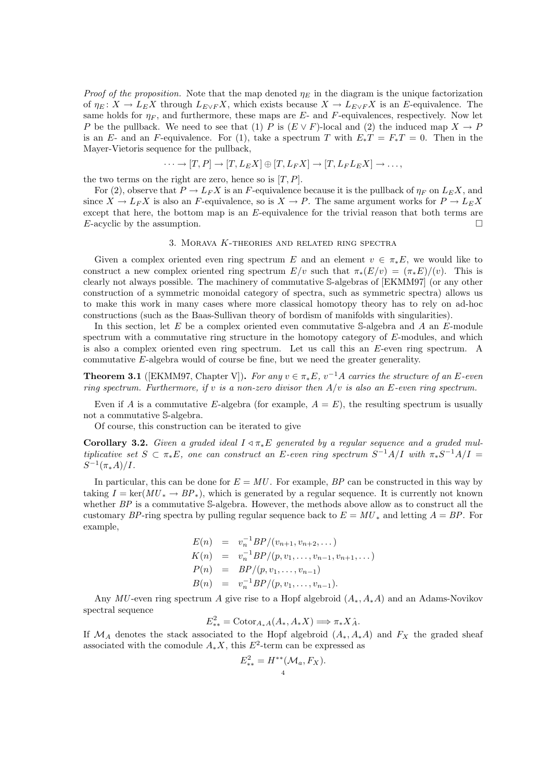*Proof of the proposition.* Note that the map denoted  $\eta_E$  in the diagram is the unique factorization of  $\eta_E : X \to L_E X$  through  $L_{E \vee F} X$ , which exists because  $X \to L_{E \vee F} X$  is an E-equivalence. The same holds for  $\eta_F$ , and furthermore, these maps are E- and F-equivalences, respectively. Now let P be the pullback. We need to see that (1) P is  $(E \vee F)$ -local and (2) the induced map  $X \to P$ is an E- and an F-equivalence. For (1), take a spectrum T with  $E_*T = F_*T = 0$ . Then in the Mayer-Vietoris sequence for the pullback,

$$
\cdots \to [T, P] \to [T, L_E X] \oplus [T, L_F X] \to [T, L_F L_E X] \to \ldots,
$$

the two terms on the right are zero, hence so is  $[T, P]$ .

For (2), observe that  $P \to L_F X$  is an F-equivalence because it is the pullback of  $\eta_F$  on  $L_E X$ , and since  $X \to L_F X$  is also an F-equivalence, so is  $X \to P$ . The same argument works for  $P \to L_E X$ except that here, the bottom map is an E-equivalence for the trivial reason that both terms are E-acyclic by the assumption.

## 3. Morava K-theories and related ring spectra

Given a complex oriented even ring spectrum E and an element  $v \in \pi_*E$ , we would like to construct a new complex oriented ring spectrum  $E/v$  such that  $\pi_*(E/v) = (\pi_*E)/(v)$ . This is clearly not always possible. The machinery of commutative S-algebras of [EKMM97] (or any other construction of a symmetric monoidal category of spectra, such as symmetric spectra) allows us to make this work in many cases where more classical homotopy theory has to rely on ad-hoc constructions (such as the Baas-Sullivan theory of bordism of manifolds with singularities).

In this section, let  $E$  be a complex oriented even commutative S-algebra and  $A$  an  $E$ -module spectrum with a commutative ring structure in the homotopy category of E-modules, and which is also a complex oriented even ring spectrum. Let us call this an E-even ring spectrum. A commutative E-algebra would of course be fine, but we need the greater generality.

**Theorem 3.1** ([EKMM97, Chapter V]). For any  $v \in \pi_*E$ ,  $v^{-1}A$  carries the structure of an E-even *ring spectrum. Furthermore, if* v *is a non-zero divisor then* A/v *is also an* E*-even ring spectrum.*

Even if A is a commutative E-algebra (for example,  $A = E$ ), the resulting spectrum is usually not a commutative S-algebra.

Of course, this construction can be iterated to give

**Corollary 3.2.** *Given a graded ideal*  $I \triangleleft \pi_* E$  *generated by a regular sequence and a graded multiplicative set*  $S \subset \pi_* E$ , one can construct an E-even ring spectrum  $S^{-1}A/I$  with  $\pi_* S^{-1}A/I =$  $S^{-1}(\pi_*A)/I$ .

In particular, this can be done for  $E = MU$ . For example, *BP* can be constructed in this way by taking  $I = \text{ker}(MU^* \to BP^*)$ , which is generated by a regular sequence. It is currently not known whether *BP* is a commutative S-algebra. However, the methods above allow as to construct all the customary *BP*-ring spectra by pulling regular sequence back to  $E = MU_*$  and letting  $A = BP$ . For example,

$$
E(n) = v_n^{-1} BP/(v_{n+1}, v_{n+2}, ...)
$$
  
\n
$$
K(n) = v_n^{-1} BP/(p, v_1, ..., v_{n-1}, v_{n+1}, ...)
$$
  
\n
$$
P(n) = BP/(p, v_1, ..., v_{n-1})
$$
  
\n
$$
B(n) = v_n^{-1} BP/(p, v_1, ..., v_{n-1}).
$$

Any  $MU$ -even ring spectrum A give rise to a Hopf algebroid  $(A_*, A_*A)$  and an Adams-Novikov spectral sequence

$$
E_{**}^2 = \text{Cotor}_{A_*A}(A_*, A_*X) \Longrightarrow \pi_*X_A.
$$

If  $\mathcal{M}_A$  denotes the stack associated to the Hopf algebroid  $(A_*, A_*A)$  and  $F_X$  the graded sheaf associated with the comodule  $A_*X$ , this  $E^2$ -term can be expressed as

$$
E_{**}^2 = H^{**}(\mathcal{M}_a, F_X).
$$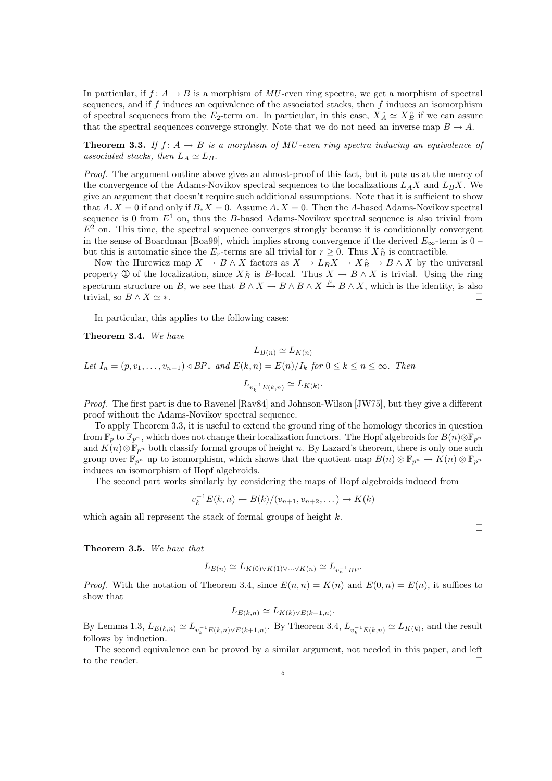In particular, if  $f: A \to B$  is a morphism of  $MU$ -even ring spectra, we get a morphism of spectral sequences, and if  $f$  induces an equivalence of the associated stacks, then  $f$  induces an isomorphism of spectral sequences from the  $E_2$ -term on. In particular, in this case,  $X_A^{\hat{}} \simeq X_B^{\hat{}}$  if we can assure that the spectral sequences converge strongly. Note that we do not need an inverse map  $B \to A$ .

**Theorem 3.3.** If  $f: A \rightarrow B$  is a morphism of MU-even ring spectra inducing an equivalence of *associated stacks, then*  $L_A \simeq L_B$ .

*Proof.* The argument outline above gives an almost-proof of this fact, but it puts us at the mercy of the convergence of the Adams-Novikov spectral sequences to the localizations  $L_A X$  and  $L_B X$ . We give an argument that doesn't require such additional assumptions. Note that it is sufficient to show that  $A_*X = 0$  if and only if  $B_*X = 0$ . Assume  $A_*X = 0$ . Then the A-based Adams-Novikov spectral sequence is 0 from  $E^1$  on, thus the B-based Adams-Novikov spectral sequence is also trivial from  $E<sup>2</sup>$  on. This time, the spectral sequence converges strongly because it is conditionally convergent in the sense of Boardman [Boa99], which implies strong convergence if the derived  $E_{\infty}$ -term is 0 – but this is automatic since the  $E_r$ -terms are all trivial for  $r \geq 0$ . Thus  $X_B^{\hat{}}$  is contractible.

Now the Hurewicz map  $X \to B \wedge X$  factors as  $X \to L_B X \to X \hat{B} \to B \wedge X$  by the universal property ① of the localization, since  $X_B^{\wedge}$  is B-local. Thus  $X \to B \wedge X$  is trivial. Using the ring spectrum structure on B, we see that  $B \wedge X \to B \wedge B \wedge X \xrightarrow{\mu} B \wedge X$ , which is the identity, is also trivial, so  $B \wedge X \simeq *$ .

In particular, this applies to the following cases:

Theorem 3.4. *We have*

 $L_{B(n)} \simeq L_{K(n)}$ *Let*  $I_n = (p, v_1, \ldots, v_{n-1}) \triangleleft BP_*$  *and*  $E(k, n) = E(n)/I_k$  *for*  $0 \le k \le n \le \infty$ *. Then*  $L_{v_k^{-1}E(k,n)} \simeq L_{K(k)}$ .

*Proof.* The first part is due to Ravenel [Rav84] and Johnson-Wilson [JW75], but they give a different proof without the Adams-Novikov spectral sequence.

To apply Theorem 3.3, it is useful to extend the ground ring of the homology theories in question from  $\mathbb{F}_p$  to  $\mathbb{F}_{p^n}$ , which does not change their localization functors. The Hopf algebroids for  $B(n) \otimes \mathbb{F}_{p^n}$ and  $K(n) \otimes \mathbb{F}_{p^n}$  both classify formal groups of height n. By Lazard's theorem, there is only one such group over  $\mathbb{F}_{p^n}$  up to isomorphism, which shows that the quotient map  $B(n) \otimes \mathbb{F}_{p^n} \to K(n) \otimes \mathbb{F}_{p^n}$ induces an isomorphism of Hopf algebroids.

The second part works similarly by considering the maps of Hopf algebroids induced from

$$
v_k^{-1}E(k,n) \leftarrow B(k)/(v_{n+1},v_{n+2},\dots) \rightarrow K(k)
$$

 $\Box$ 

which again all represent the stack of formal groups of height  $k$ .

Theorem 3.5. *We have that*

$$
L_{E(n)} \simeq L_{K(0)\vee K(1)\vee\cdots\vee K(n)} \simeq L_{v_n^{-1}BP}.
$$

*Proof.* With the notation of Theorem 3.4, since  $E(n, n) = K(n)$  and  $E(0, n) = E(n)$ , it suffices to show that

$$
L_{E(k,n)} \simeq L_{K(k)\vee E(k+1,n)}.
$$

By Lemma 1.3,  $L_{E(k,n)} \simeq L_{v_k^{-1}E(k,n)\vee E(k+1,n)}$ . By Theorem 3.4,  $L_{v_k^{-1}E(k,n)} \simeq L_{K(k)}$ , and the result follows by induction.

The second equivalence can be proved by a similar argument, not needed in this paper, and left to the reader.  $\Box$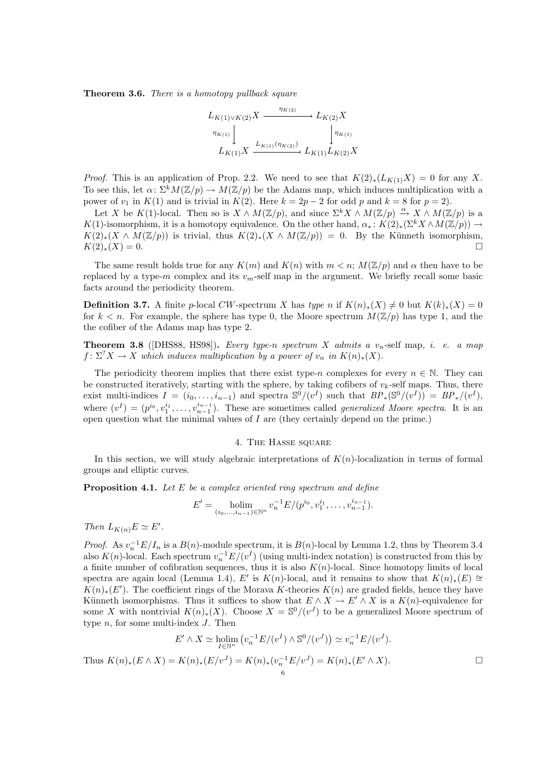Theorem 3.6. *There is a homotopy pullback square*

$$
L_{K(1)\vee K(2)}X \xrightarrow{\eta_{K(2)}} L_{K(2)}X
$$
  

$$
\downarrow^{\eta_{K(1)}} \downarrow \qquad \qquad \downarrow^{\eta_{K(2)}}
$$
  

$$
L_{K(1)}X \xrightarrow{L_{K(1)}(\eta_{K(2)})} L_{K(1)}L_{K(2)}X
$$

*Proof.* This is an application of Prop. 2.2. We need to see that  $K(2)_*(L_{K(1)}X) = 0$  for any X. To see this, let  $\alpha: \Sigma^k M(\mathbb{Z}/p) \to M(\mathbb{Z}/p)$  be the Adams map, which induces multiplication with a power of  $v_1$  in  $K(1)$  and is trivial in  $K(2)$ . Here  $k = 2p - 2$  for odd p and  $k = 8$  for  $p = 2$ ).

Let X be K(1)-local. Then so is  $X \wedge M(\mathbb{Z}/p)$ , and since  $\Sigma^k X \wedge M(\mathbb{Z}/p) \xrightarrow{\alpha} X \wedge M(\mathbb{Z}/p)$  is a K(1)-isomorphism, it is a homotopy equivalence. On the other hand,  $\alpha_* : K(2)_*(\Sigma^k X \wedge M(\mathbb{Z}/p)) \to$  $K(2)_*(X \wedge M(\mathbb{Z}/p))$  is trivial, thus  $K(2)_*(X \wedge M(\mathbb{Z}/p)) = 0$ . By the Künneth isomorphism,  $K(2)_*(X) = 0.$ 

The same result holds true for any  $K(m)$  and  $K(n)$  with  $m < n$ ;  $M(\mathbb{Z}/p)$  and  $\alpha$  then have to be replaced by a type-m complex and its  $v_m$ -self map in the argument. We briefly recall some basic facts around the periodicity theorem.

**Definition 3.7.** A finite p-local CW-spectrum X has *type* n if  $K(n)_*(X) \neq 0$  but  $K(k)_*(X) = 0$ for  $k < n$ . For example, the sphere has type 0, the Moore spectrum  $M(\mathbb{Z}/p)$  has type 1, and the the cofiber of the Adams map has type 2.

**Theorem 3.8** ([DHS88, HS98]). *Every type-n spectrum* X *admits a*  $v_n$ -self map, *i. e. a map*  $f: \Sigma^? X \to X$  which induces multiplication by a power of  $v_n$  in  $K(n)_*(X)$ .

The periodicity theorem implies that there exist type-n complexes for every  $n \in \mathbb{N}$ . They can be constructed iteratively, starting with the sphere, by taking cofibers of  $v_k$ -self maps. Thus, there exist multi-indices  $I = (i_0, \ldots, i_{n-1})$  and spectra  $\mathbb{S}^0/(v^I)$  such that  $BP_*(\mathbb{S}^0/(v^I)) = BP_*/(v^I)$ , where  $(v^I) = (p^{i_0}, v_1^{i_1}, \ldots, v_{n-1}^{i_{n-1}})$ . These are sometimes called *generalized Moore spectra*. It is an open question what the minimal values of  $I$  are (they certainly depend on the prime.)

# 4. THE HASSE SOUARE

In this section, we will study algebraic interpretations of  $K(n)$ -localization in terms of formal groups and elliptic curves.

Proposition 4.1. *Let* E *be a complex oriented ring spectrum and define*

$$
E' = \underset{(i_0,\ldots,i_{n-1}) \in \mathbb{N}^n}{\text{holim}} v_n^{-1} E/(p^{i_0}, v_1^{i_1},\ldots,v_{n-1}^{i_{n-1}}).
$$

*Then*  $L_{K(n)}E \simeq E'$ .

*Proof.* As  $v_n^{-1}E/I_n$  is a  $B(n)$ -module spectrum, it is  $B(n)$ -local by Lemma 1.2, thus by Theorem 3.4 also  $K(n)$ -local. Each spectrum  $v_n^{-1}E/(v^I)$  (using multi-index notation) is constructed from this by a finite number of cofibration sequences, thus it is also  $K(n)$ -local. Since homotopy limits of local spectra are again local (Lemma 1.4), E' is K(n)-local, and it remains to show that  $K(n)_*(E) \cong$  $K(n)_*(E')$ . The coefficient rings of the Morava K-theories  $K(n)$  are graded fields, hence they have Künneth isomorphisms. Thus it suffices to show that  $E \wedge X \to E' \wedge X$  is a  $K(n)$ -equivalence for some X with nontrivial  $K(n)_*(X)$ . Choose  $X = \mathbb{S}^0/(v^J)$  to be a generalized Moore spectrum of type  $n$ , for some multi-index  $J$ . Then

$$
E' \wedge X \simeq \underset{I \in \mathbb{N}^n}{\text{holim}} \left( v_n^{-1} E/(v^I) \wedge \mathbb{S}^0/(v^J) \right) \simeq v_n^{-1} E/(v^J).
$$

Thus  $K(n)_*(E \wedge X) = K(n)_*(E/v^J) = K(n)_*(v_n^{-1}E/v^J) = K(n)_*(E' \wedge X)$ .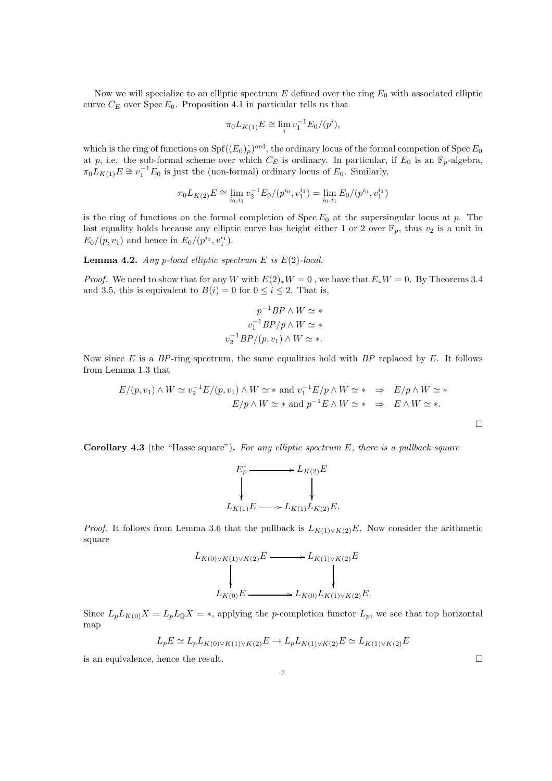Now we will specialize to an elliptic spectrum  $E$  defined over the ring  $E_0$  with associated elliptic curve  $C_E$  over Spec  $E_0$ . Proposition 4.1 in particular tells us that

$$
\pi_0 L_{K(1)} E \cong \lim_i v_1^{-1} E_0 / (p^i),
$$

which is the ring of functions on  $Spf((E_0)_{\hat{p}})^{\text{ord}}$ , the ordinary locus of the formal competion of  $Spec E_0$ at p, i.e. the sub-formal scheme over which  $C_E$  is ordinary. In particular, if  $E_0$  is an  $\mathbb{F}_p$ -algebra,  $\pi_0 L_{K(1)} E \cong v_1^{-1} E_0$  is just the (non-formal) ordinary locus of  $E_0$ . Similarly,

$$
\pi_0 L_{K(2)} E \cong \lim_{i_0, i_1} v_2^{-1} E_0 / (p^{i_0}, v_1^{i_1}) = \lim_{i_0, i_1} E_0 / (p^{i_0}, v_1^{i_1})
$$

is the ring of functions on the formal completion of  $Spec E_0$  at the supersingular locus at p. The last equality holds because any elliptic curve has height either 1 or 2 over  $\mathbb{F}_p$ , thus  $v_2$  is a unit in  $E_0/(p, v_1)$  and hence in  $E_0/(p^{i_0}, v_1^{i_1}).$ 

Lemma 4.2. *Any* p*-local elliptic spectrum* E *is* E(2)*-local.*

*Proof.* We need to show that for any W with  $E(2)_{*}W = 0$ , we have that  $E_{*}W = 0$ . By Theorems 3.4 and 3.5, this is equivalent to  $B(i) = 0$  for  $0 \le i \le 2$ . That is,

$$
p^{-1}BP \wedge W \simeq *
$$

$$
v_1^{-1}BP/p \wedge W \simeq *
$$

$$
v_2^{-1}BP/(p, v_1) \wedge W \simeq *
$$

Now since E is a *BP*-ring spectrum, the same equalities hold with *BP* replaced by E. It follows from Lemma 1.3 that

$$
E/(p, v_1) \wedge W \simeq v_2^{-1} E/(p, v_1) \wedge W \simeq * \text{ and } v_1^{-1} E/p \wedge W \simeq * \Rightarrow E/p \wedge W \simeq *
$$
  
 
$$
E/p \wedge W \simeq * \text{ and } p^{-1} E \wedge W \simeq * \Rightarrow E \wedge W \simeq *.
$$

Corollary 4.3 (the "Hasse square"). *For any elliptic spectrum* E*, there is a pullback square*



*Proof.* It follows from Lemma 3.6 that the pullback is  $L_{K(1)\vee K(2)}E$ . Now consider the arithmetic square

$$
L_{K(0)\vee K(1)\vee K(2)}E \longrightarrow L_{K(1)\vee K(2)}E
$$
  
\n
$$
\downarrow \qquad \qquad \downarrow
$$
  
\n
$$
L_{K(0)}E \longrightarrow L_{K(0)}L_{K(1)\vee K(2)}E.
$$

Since  $L_p L_{K(0)} X = L_p L_0 X = *$ , applying the p-completion functor  $L_p$ , we see that top horizontal map

$$
L_p E \simeq L_p L_{K(0) \vee K(1) \vee K(2)} E \to L_p L_{K(1) \vee K(2)} E \simeq L_{K(1) \vee K(2)} E
$$

is an equivalence, hence the result.  $\Box$ 

 $\Box$